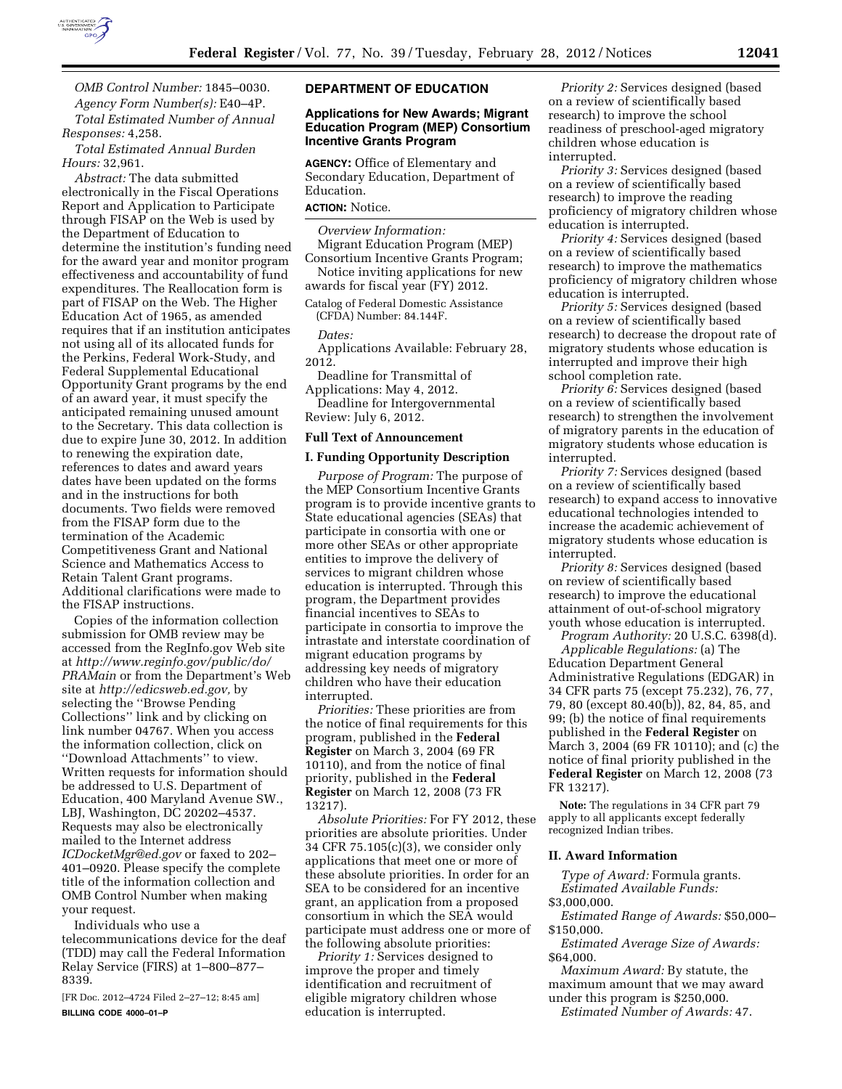

*OMB Control Number:* 1845–0030. *Agency Form Number(s):* E40–4P. *Total Estimated Number of Annual Responses:* 4,258.

*Total Estimated Annual Burden Hours:* 32,961.

*Abstract:* The data submitted electronically in the Fiscal Operations Report and Application to Participate through FISAP on the Web is used by the Department of Education to determine the institution's funding need for the award year and monitor program effectiveness and accountability of fund expenditures. The Reallocation form is part of FISAP on the Web. The Higher Education Act of 1965, as amended requires that if an institution anticipates not using all of its allocated funds for the Perkins, Federal Work-Study, and Federal Supplemental Educational Opportunity Grant programs by the end of an award year, it must specify the anticipated remaining unused amount to the Secretary. This data collection is due to expire June 30, 2012. In addition to renewing the expiration date, references to dates and award years dates have been updated on the forms and in the instructions for both documents. Two fields were removed from the FISAP form due to the termination of the Academic Competitiveness Grant and National Science and Mathematics Access to Retain Talent Grant programs. Additional clarifications were made to the FISAP instructions.

Copies of the information collection submission for OMB review may be accessed from the RegInfo.gov Web site at *[http://www.reginfo.gov/public/do/](http://www.reginfo.gov/public/do/PRAMain) [PRAMain](http://www.reginfo.gov/public/do/PRAMain)* or from the Department's Web site at *[http://edicsweb.ed.gov,](http://edicsweb.ed.gov)* by selecting the ''Browse Pending Collections'' link and by clicking on link number 04767. When you access the information collection, click on ''Download Attachments'' to view. Written requests for information should be addressed to U.S. Department of Education, 400 Maryland Avenue SW., LBJ, Washington, DC 20202–4537. Requests may also be electronically mailed to the Internet address *[ICDocketMgr@ed.gov](mailto:ICDocketMgr@ed.gov)* or faxed to 202– 401–0920. Please specify the complete title of the information collection and OMB Control Number when making your request.

Individuals who use a telecommunications device for the deaf (TDD) may call the Federal Information Relay Service (FIRS) at 1–800–877– 8339.

[FR Doc. 2012–4724 Filed 2–27–12; 8:45 am] **BILLING CODE 4000–01–P** 

#### **DEPARTMENT OF EDUCATION**

### **Applications for New Awards; Migrant Education Program (MEP) Consortium Incentive Grants Program**

**AGENCY:** Office of Elementary and Secondary Education, Department of Education.

## **ACTION:** Notice.

*Overview Information:* 

Migrant Education Program (MEP) Consortium Incentive Grants Program; Notice inviting applications for new

awards for fiscal year (FY) 2012.

Catalog of Federal Domestic Assistance (CFDA) Number: 84.144F.

*Dates:* 

Applications Available: February 28, 2012.

Deadline for Transmittal of Applications: May 4, 2012.

Deadline for Intergovernmental Review: July 6, 2012.

#### **Full Text of Announcement**

#### **I. Funding Opportunity Description**

*Purpose of Program:* The purpose of the MEP Consortium Incentive Grants program is to provide incentive grants to State educational agencies (SEAs) that participate in consortia with one or more other SEAs or other appropriate entities to improve the delivery of services to migrant children whose education is interrupted. Through this program, the Department provides financial incentives to SEAs to participate in consortia to improve the intrastate and interstate coordination of migrant education programs by addressing key needs of migratory children who have their education interrupted.

*Priorities:* These priorities are from the notice of final requirements for this program, published in the **Federal Register** on March 3, 2004 (69 FR 10110), and from the notice of final priority, published in the **Federal Register** on March 12, 2008 (73 FR 13217).

*Absolute Priorities:* For FY 2012, these priorities are absolute priorities. Under 34 CFR 75.105(c)(3), we consider only applications that meet one or more of these absolute priorities. In order for an SEA to be considered for an incentive grant, an application from a proposed consortium in which the SEA would participate must address one or more of the following absolute priorities:

*Priority 1:* Services designed to improve the proper and timely identification and recruitment of eligible migratory children whose education is interrupted.

*Priority 2:* Services designed (based on a review of scientifically based research) to improve the school readiness of preschool-aged migratory children whose education is interrupted.

*Priority 3:* Services designed (based on a review of scientifically based research) to improve the reading proficiency of migratory children whose education is interrupted.

*Priority 4:* Services designed (based on a review of scientifically based research) to improve the mathematics proficiency of migratory children whose education is interrupted.

*Priority 5:* Services designed (based on a review of scientifically based research) to decrease the dropout rate of migratory students whose education is interrupted and improve their high school completion rate.

*Priority 6:* Services designed (based on a review of scientifically based research) to strengthen the involvement of migratory parents in the education of migratory students whose education is interrupted.

*Priority 7:* Services designed (based on a review of scientifically based research) to expand access to innovative educational technologies intended to increase the academic achievement of migratory students whose education is interrupted.

*Priority 8:* Services designed (based on review of scientifically based research) to improve the educational attainment of out-of-school migratory youth whose education is interrupted.

*Program Authority:* 20 U.S.C. 6398(d). *Applicable Regulations:* (a) The Education Department General Administrative Regulations (EDGAR) in 34 CFR parts 75 (except 75.232), 76, 77, 79, 80 (except 80.40(b)), 82, 84, 85, and 99; (b) the notice of final requirements published in the **Federal Register** on March 3, 2004 (69 FR 10110); and (c) the notice of final priority published in the **Federal Register** on March 12, 2008 (73 FR 13217).

**Note:** The regulations in 34 CFR part 79 apply to all applicants except federally recognized Indian tribes.

#### **II. Award Information**

*Type of Award:* Formula grants. *Estimated Available Funds:*  \$3,000,000.

*Estimated Range of Awards:* \$50,000–

\$150,000.

*Estimated Average Size of Awards:*  \$64,000.

*Maximum Award:* By statute, the maximum amount that we may award under this program is \$250,000.

*Estimated Number of Awards:* 47.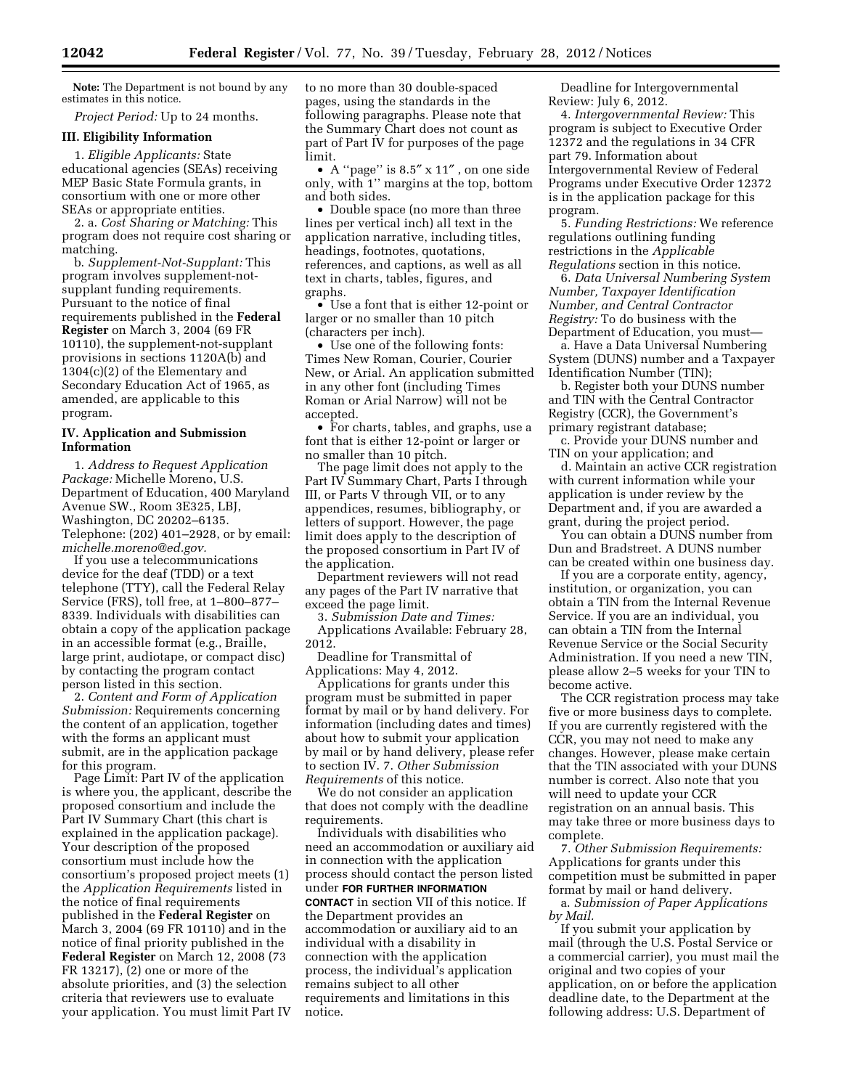**Note:** The Department is not bound by any estimates in this notice.

*Project Period:* Up to 24 months.

### **III. Eligibility Information**

1. *Eligible Applicants:* State educational agencies (SEAs) receiving MEP Basic State Formula grants, in consortium with one or more other SEAs or appropriate entities.

2. a. *Cost Sharing or Matching:* This program does not require cost sharing or matching.

b. *Supplement-Not-Supplant:* This program involves supplement-notsupplant funding requirements. Pursuant to the notice of final requirements published in the **Federal Register** on March 3, 2004 (69 FR 10110), the supplement-not-supplant provisions in sections 1120A(b) and 1304(c)(2) of the Elementary and Secondary Education Act of 1965, as amended, are applicable to this program.

### **IV. Application and Submission Information**

1. *Address to Request Application Package:* Michelle Moreno, U.S. Department of Education, 400 Maryland Avenue SW., Room 3E325, LBJ, Washington, DC 20202–6135. Telephone: (202) 401–2928, or by email: *[michelle.moreno@ed.gov.](mailto:michelle.moreno@ed.gov)* 

If you use a telecommunications device for the deaf (TDD) or a text telephone (TTY), call the Federal Relay Service (FRS), toll free, at 1–800–877– 8339. Individuals with disabilities can obtain a copy of the application package in an accessible format (e.g., Braille, large print, audiotape, or compact disc) by contacting the program contact person listed in this section.

2. *Content and Form of Application Submission:* Requirements concerning the content of an application, together with the forms an applicant must submit, are in the application package for this program.

Page Limit: Part IV of the application is where you, the applicant, describe the proposed consortium and include the Part IV Summary Chart (this chart is explained in the application package). Your description of the proposed consortium must include how the consortium's proposed project meets (1) the *Application Requirements* listed in the notice of final requirements published in the **Federal Register** on March 3, 2004 (69 FR 10110) and in the notice of final priority published in the **Federal Register** on March 12, 2008 (73 FR 13217), (2) one or more of the absolute priorities, and (3) the selection criteria that reviewers use to evaluate your application. You must limit Part IV

to no more than 30 double-spaced pages, using the standards in the following paragraphs. Please note that the Summary Chart does not count as part of Part IV for purposes of the page limit.

• A ''page'' is 8.5″ x 11″ , on one side only, with 1'' margins at the top, bottom and both sides.

• Double space (no more than three lines per vertical inch) all text in the application narrative, including titles, headings, footnotes, quotations, references, and captions, as well as all text in charts, tables, figures, and graphs.

• Use a font that is either 12-point or larger or no smaller than 10 pitch (characters per inch).

• Use one of the following fonts: Times New Roman, Courier, Courier New, or Arial. An application submitted in any other font (including Times Roman or Arial Narrow) will not be accepted.

• For charts, tables, and graphs, use a font that is either 12-point or larger or no smaller than 10 pitch.

The page limit does not apply to the Part IV Summary Chart, Parts I through III, or Parts V through VII, or to any appendices, resumes, bibliography, or letters of support. However, the page limit does apply to the description of the proposed consortium in Part IV of the application.

Department reviewers will not read any pages of the Part IV narrative that exceed the page limit.

3. *Submission Date and Times:*  Applications Available: February 28, 2012.

Deadline for Transmittal of Applications: May 4, 2012.

Applications for grants under this program must be submitted in paper format by mail or by hand delivery. For information (including dates and times) about how to submit your application by mail or by hand delivery, please refer to section IV. 7. *Other Submission Requirements* of this notice.

We do not consider an application that does not comply with the deadline requirements.

Individuals with disabilities who need an accommodation or auxiliary aid in connection with the application process should contact the person listed under **FOR FURTHER INFORMATION CONTACT** in section VII of this notice. If the Department provides an accommodation or auxiliary aid to an individual with a disability in connection with the application process, the individual's application remains subject to all other requirements and limitations in this notice.

Deadline for Intergovernmental Review: July 6, 2012.

4. *Intergovernmental Review:* This program is subject to Executive Order 12372 and the regulations in 34 CFR part 79. Information about Intergovernmental Review of Federal Programs under Executive Order 12372 is in the application package for this program.

5. *Funding Restrictions:* We reference regulations outlining funding restrictions in the *Applicable Regulations* section in this notice.

6. *Data Universal Numbering System Number, Taxpayer Identification Number, and Central Contractor Registry:* To do business with the Department of Education, you must—

a. Have a Data Universal Numbering System (DUNS) number and a Taxpayer Identification Number (TIN);

b. Register both your DUNS number and TIN with the Central Contractor Registry (CCR), the Government's primary registrant database;

c. Provide your DUNS number and TIN on your application; and

d. Maintain an active CCR registration with current information while your application is under review by the Department and, if you are awarded a grant, during the project period.

You can obtain a DUNS number from Dun and Bradstreet. A DUNS number can be created within one business day.

If you are a corporate entity, agency, institution, or organization, you can obtain a TIN from the Internal Revenue Service. If you are an individual, you can obtain a TIN from the Internal Revenue Service or the Social Security Administration. If you need a new TIN, please allow 2–5 weeks for your TIN to become active.

The CCR registration process may take five or more business days to complete. If you are currently registered with the CCR, you may not need to make any changes. However, please make certain that the TIN associated with your DUNS number is correct. Also note that you will need to update your CCR registration on an annual basis. This may take three or more business days to complete.

7. *Other Submission Requirements:*  Applications for grants under this competition must be submitted in paper format by mail or hand delivery.

a. *Submission of Paper Applications by Mail.* 

If you submit your application by mail (through the U.S. Postal Service or a commercial carrier), you must mail the original and two copies of your application, on or before the application deadline date, to the Department at the following address: U.S. Department of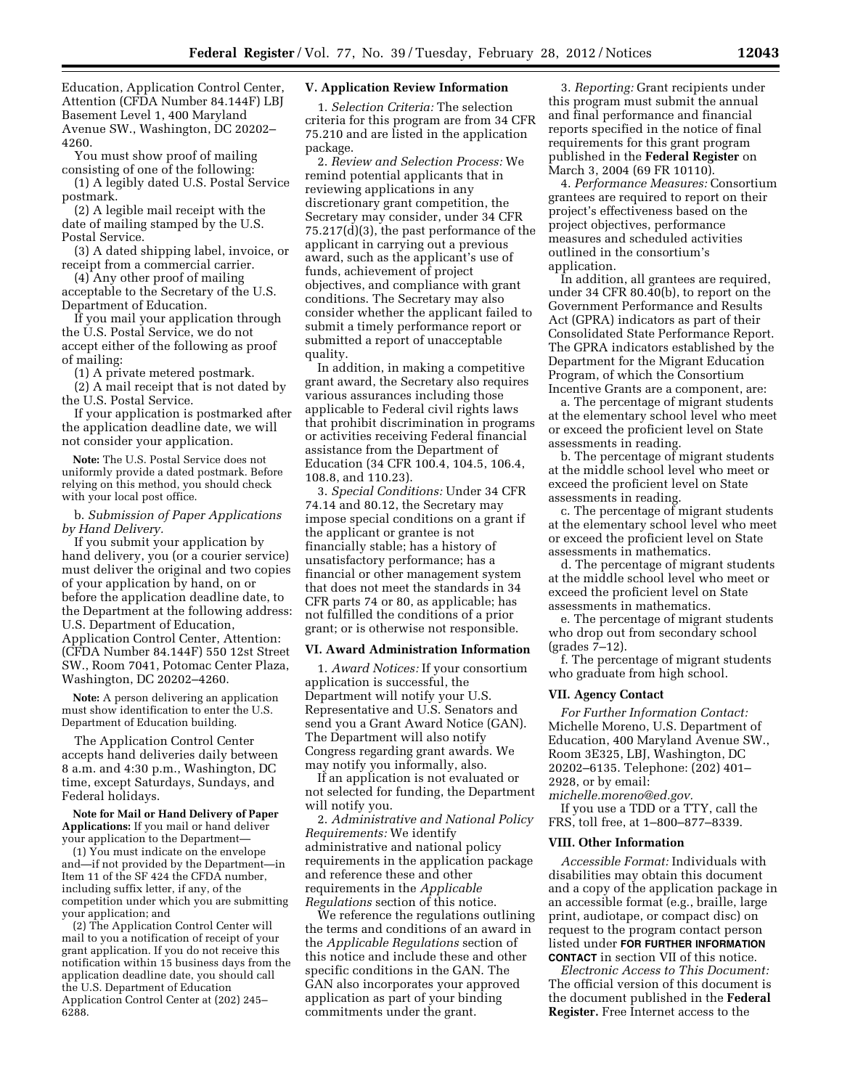Education, Application Control Center, Attention (CFDA Number 84.144F) LBJ Basement Level 1, 400 Maryland Avenue SW., Washington, DC 20202– 4260.

You must show proof of mailing consisting of one of the following:

(1) A legibly dated U.S. Postal Service postmark.

(2) A legible mail receipt with the date of mailing stamped by the U.S. Postal Service.

(3) A dated shipping label, invoice, or receipt from a commercial carrier.

(4) Any other proof of mailing acceptable to the Secretary of the U.S. Department of Education.

If you mail your application through the U.S. Postal Service, we do not accept either of the following as proof of mailing:

(1) A private metered postmark.

(2) A mail receipt that is not dated by the U.S. Postal Service.

If your application is postmarked after the application deadline date, we will not consider your application.

**Note:** The U.S. Postal Service does not uniformly provide a dated postmark. Before relying on this method, you should check with your local post office.

b. *Submission of Paper Applications by Hand Delivery.* 

If you submit your application by hand delivery, you (or a courier service) must deliver the original and two copies of your application by hand, on or before the application deadline date, to the Department at the following address: U.S. Department of Education, Application Control Center, Attention: (CFDA Number 84.144F) 550 12st Street SW., Room 7041, Potomac Center Plaza, Washington, DC 20202–4260.

**Note:** A person delivering an application must show identification to enter the U.S. Department of Education building.

The Application Control Center accepts hand deliveries daily between 8 a.m. and 4:30 p.m., Washington, DC time, except Saturdays, Sundays, and Federal holidays.

**Note for Mail or Hand Delivery of Paper Applications:** If you mail or hand deliver your application to the Department—

(1) You must indicate on the envelope and—if not provided by the Department—in Item 11 of the SF 424 the CFDA number, including suffix letter, if any, of the competition under which you are submitting your application; and

(2) The Application Control Center will mail to you a notification of receipt of your grant application. If you do not receive this notification within 15 business days from the application deadline date, you should call the U.S. Department of Education Application Control Center at (202) 245– 6288.

### **V. Application Review Information**

1. *Selection Criteria:* The selection criteria for this program are from 34 CFR 75.210 and are listed in the application package.

2. *Review and Selection Process:* We remind potential applicants that in reviewing applications in any discretionary grant competition, the Secretary may consider, under 34 CFR 75.217(d)(3), the past performance of the applicant in carrying out a previous award, such as the applicant's use of funds, achievement of project objectives, and compliance with grant conditions. The Secretary may also consider whether the applicant failed to submit a timely performance report or submitted a report of unacceptable quality.

In addition, in making a competitive grant award, the Secretary also requires various assurances including those applicable to Federal civil rights laws that prohibit discrimination in programs or activities receiving Federal financial assistance from the Department of Education (34 CFR 100.4, 104.5, 106.4, 108.8, and 110.23).

3. *Special Conditions:* Under 34 CFR 74.14 and 80.12, the Secretary may impose special conditions on a grant if the applicant or grantee is not financially stable; has a history of unsatisfactory performance; has a financial or other management system that does not meet the standards in 34 CFR parts 74 or 80, as applicable; has not fulfilled the conditions of a prior grant; or is otherwise not responsible.

### **VI. Award Administration Information**

1. *Award Notices:* If your consortium application is successful, the Department will notify your U.S. Representative and U.S. Senators and send you a Grant Award Notice (GAN). The Department will also notify Congress regarding grant awards. We may notify you informally, also.

If an application is not evaluated or not selected for funding, the Department will notify you.

2. *Administrative and National Policy Requirements:* We identify administrative and national policy requirements in the application package and reference these and other requirements in the *Applicable Regulations* section of this notice.

We reference the regulations outlining the terms and conditions of an award in the *Applicable Regulations* section of this notice and include these and other specific conditions in the GAN. The GAN also incorporates your approved application as part of your binding commitments under the grant.

3. *Reporting:* Grant recipients under this program must submit the annual and final performance and financial reports specified in the notice of final requirements for this grant program published in the **Federal Register** on March 3, 2004 (69 FR 10110).

4. *Performance Measures:* Consortium grantees are required to report on their project's effectiveness based on the project objectives, performance measures and scheduled activities outlined in the consortium's application.

In addition, all grantees are required, under 34 CFR 80.40(b), to report on the Government Performance and Results Act (GPRA) indicators as part of their Consolidated State Performance Report. The GPRA indicators established by the Department for the Migrant Education Program, of which the Consortium Incentive Grants are a component, are:

a. The percentage of migrant students at the elementary school level who meet or exceed the proficient level on State assessments in reading.

b. The percentage of migrant students at the middle school level who meet or exceed the proficient level on State assessments in reading.

c. The percentage of migrant students at the elementary school level who meet or exceed the proficient level on State assessments in mathematics.

d. The percentage of migrant students at the middle school level who meet or exceed the proficient level on State assessments in mathematics.

e. The percentage of migrant students who drop out from secondary school (grades 7–12).

f. The percentage of migrant students who graduate from high school.

#### **VII. Agency Contact**

*For Further Information Contact:*  Michelle Moreno, U.S. Department of Education, 400 Maryland Avenue SW., Room 3E325, LBJ, Washington, DC 20202–6135. Telephone: (202) 401– 2928, or by email:

*[michelle.moreno@ed.gov.](mailto:michelle.moreno@ed.gov)*  If you use a TDD or a TTY, call the FRS, toll free, at 1–800–877–8339.

#### **VIII. Other Information**

*Accessible Format:* Individuals with disabilities may obtain this document and a copy of the application package in an accessible format (e.g., braille, large print, audiotape, or compact disc) on request to the program contact person listed under **FOR FURTHER INFORMATION CONTACT** in section VII of this notice.

*Electronic Access to This Document:*  The official version of this document is the document published in the **Federal Register.** Free Internet access to the